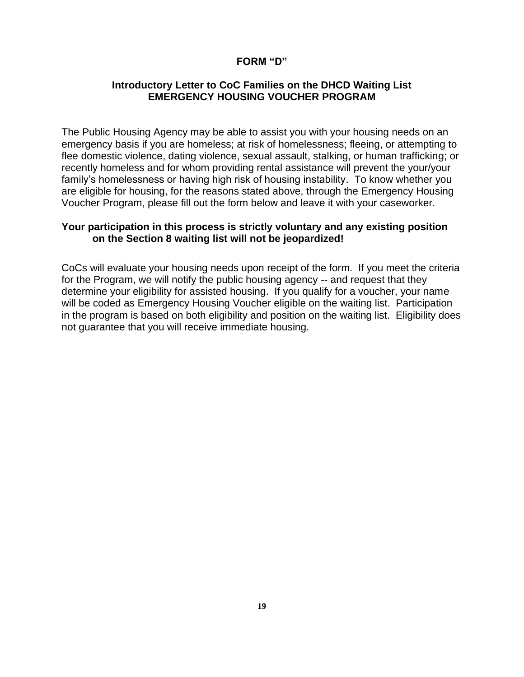#### **FORM "D"**

#### **Introductory Letter to CoC Families on the DHCD Waiting List EMERGENCY HOUSING VOUCHER PROGRAM**

The Public Housing Agency may be able to assist you with your housing needs on an emergency basis if you are homeless; at risk of homelessness; fleeing, or attempting to flee domestic violence, dating violence, sexual assault, stalking, or human trafficking; or recently homeless and for whom providing rental assistance will prevent the your/your family's homelessness or having high risk of housing instability. To know whether you are eligible for housing, for the reasons stated above, through the Emergency Housing Voucher Program, please fill out the form below and leave it with your caseworker.

#### **Your participation in this process is strictly voluntary and any existing position on the Section 8 waiting list will not be jeopardized!**

CoCs will evaluate your housing needs upon receipt of the form. If you meet the criteria for the Program, we will notify the public housing agency -- and request that they determine your eligibility for assisted housing. If you qualify for a voucher, your name will be coded as Emergency Housing Voucher eligible on the waiting list. Participation in the program is based on both eligibility and position on the waiting list. Eligibility does not guarantee that you will receive immediate housing.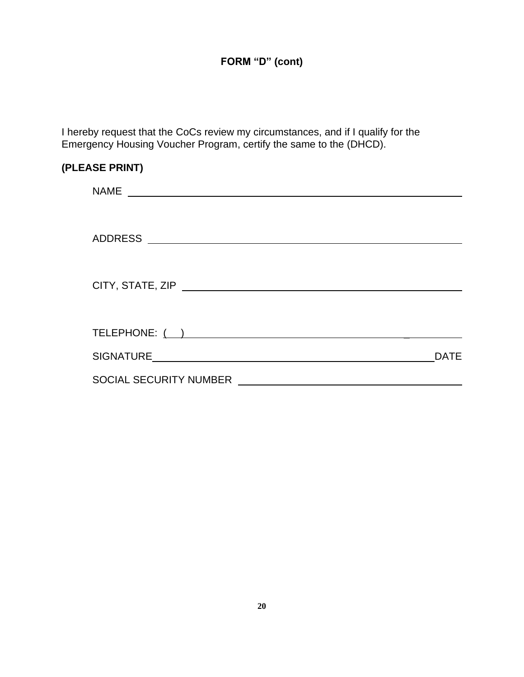I hereby request that the CoCs review my circumstances, and if I qualify for the Emergency Housing Voucher Program, certify the same to the (DHCD).

| (PLEASE PRINT)                |             |
|-------------------------------|-------------|
|                               |             |
|                               |             |
|                               |             |
|                               |             |
|                               |             |
|                               |             |
|                               |             |
|                               | <b>DATE</b> |
| <b>SOCIAL SECURITY NUMBER</b> |             |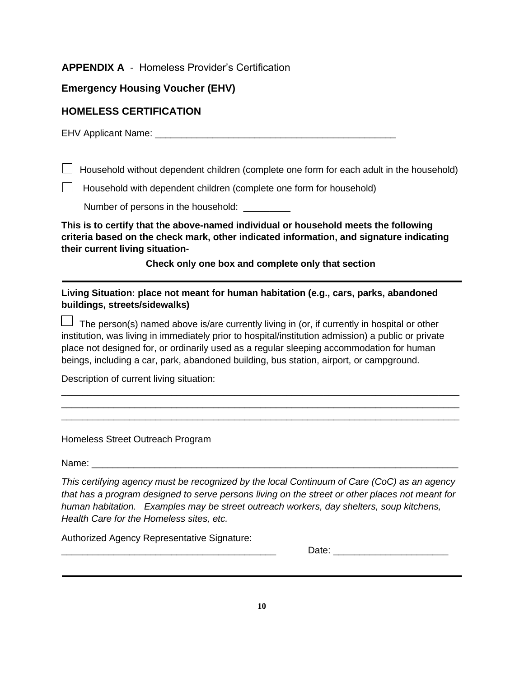#### **APPENDIX A** - Homeless Provider's Certification

### **Emergency Housing Voucher (EHV)**

#### **HOMELESS CERTIFICATION**

EHV Applicant Name: **EHV** Applicant Name:

 $\Box$  Household without dependent children (complete one form for each adult in the household)

 $\Box$  Household with dependent children (complete one form for household)

Number of persons in the household: \_\_\_\_\_\_\_\_\_

**This is to certify that the above-named individual or household meets the following criteria based on the check mark, other indicated information, and signature indicating their current living situation-**

**Check only one box and complete only that section**

**Living Situation: place not meant for human habitation (e.g., cars, parks, abandoned buildings, streets/sidewalks)**

The person(s) named above is/are currently living in (or, if currently in hospital or other institution, was living in immediately prior to hospital/institution admission) a public or private place not designed for, or ordinarily used as a regular sleeping accommodation for human beings, including a car, park, abandoned building, bus station, airport, or campground.

\_\_\_\_\_\_\_\_\_\_\_\_\_\_\_\_\_\_\_\_\_\_\_\_\_\_\_\_\_\_\_\_\_\_\_\_\_\_\_\_\_\_\_\_\_\_\_\_\_\_\_\_\_\_\_\_\_\_\_\_\_\_\_\_\_\_\_\_\_\_\_\_\_\_\_\_ \_\_\_\_\_\_\_\_\_\_\_\_\_\_\_\_\_\_\_\_\_\_\_\_\_\_\_\_\_\_\_\_\_\_\_\_\_\_\_\_\_\_\_\_\_\_\_\_\_\_\_\_\_\_\_\_\_\_\_\_\_\_\_\_\_\_\_\_\_\_\_\_\_\_\_\_ \_\_\_\_\_\_\_\_\_\_\_\_\_\_\_\_\_\_\_\_\_\_\_\_\_\_\_\_\_\_\_\_\_\_\_\_\_\_\_\_\_\_\_\_\_\_\_\_\_\_\_\_\_\_\_\_\_\_\_\_\_\_\_\_\_\_\_\_\_\_\_\_\_\_\_\_

Description of current living situation:

Homeless Street Outreach Program

Name:  $\Box$ 

*This certifying agency must be recognized by the local Continuum of Care (CoC) as an agency that has a program designed to serve persons living on the street or other places not meant for human habitation. Examples may be street outreach workers, day shelters, soup kitchens, Health Care for the Homeless sites, etc.* 

Authorized Agency Representative Signature:

Date:  $\Box$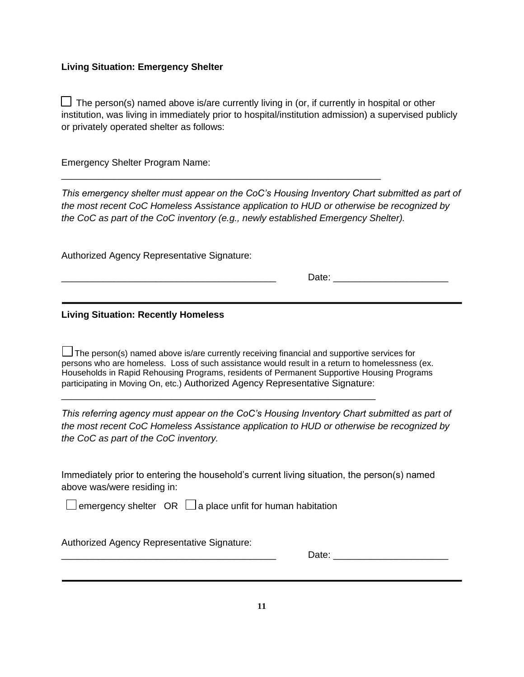#### **Living Situation: Emergency Shelter**

 $\Box$  The person(s) named above is/are currently living in (or, if currently in hospital or other institution, was living in immediately prior to hospital/institution admission) a supervised publicly or privately operated shelter as follows:

Emergency Shelter Program Name:

*This emergency shelter must appear on the CoC's Housing Inventory Chart submitted as part of the most recent CoC Homeless Assistance application to HUD or otherwise be recognized by the CoC as part of the CoC inventory (e.g., newly established Emergency Shelter).* 

\_\_\_\_\_\_\_\_\_\_\_\_\_\_\_\_\_\_\_\_\_\_\_\_\_\_\_\_\_\_\_\_\_\_\_\_\_\_\_\_\_\_\_\_\_\_\_\_\_\_\_\_\_\_\_\_\_\_\_\_\_

Authorized Agency Representative Signature:

Date:  $\Box$ 

**Living Situation: Recently Homeless** 

 $\Box$  The person(s) named above is/are currently receiving financial and supportive services for persons who are homeless. Loss of such assistance would result in a return to homelessness (ex. Households in Rapid Rehousing Programs, residents of Permanent Supportive Housing Programs participating in Moving On, etc.) Authorized Agency Representative Signature:

\_\_\_\_\_\_\_\_\_\_\_\_\_\_\_\_\_\_\_\_\_\_\_\_\_\_\_\_\_\_\_\_\_\_\_\_\_\_\_\_\_\_\_\_\_\_\_\_\_\_\_\_\_\_\_\_\_\_\_\_

*This referring agency must appear on the CoC's Housing Inventory Chart submitted as part of the most recent CoC Homeless Assistance application to HUD or otherwise be recognized by the CoC as part of the CoC inventory.* 

Immediately prior to entering the household's current living situation, the person(s) named above was/were residing in:

 $\Box$  emergency shelter OR  $\Box$  a place unfit for human habitation

Authorized Agency Representative Signature:

\_\_\_\_\_\_\_\_\_\_\_\_\_\_\_\_\_\_\_\_\_\_\_\_\_\_\_\_\_\_\_\_\_\_\_\_\_\_\_\_\_ Date: \_\_\_\_\_\_\_\_\_\_\_\_\_\_\_\_\_\_\_\_\_\_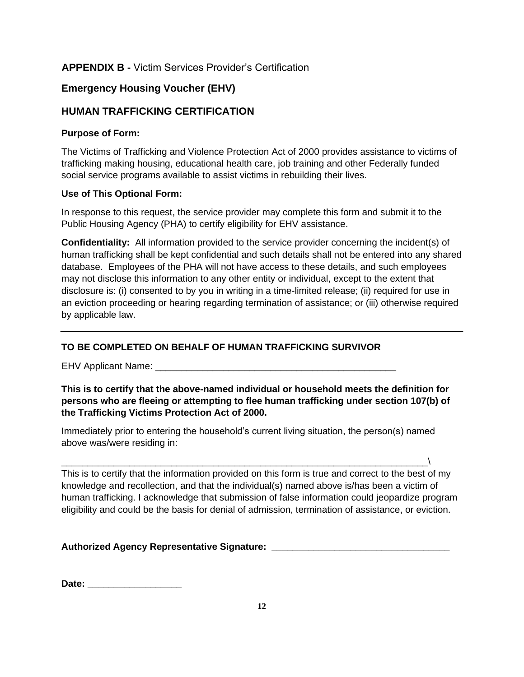## **APPENDIX B -** Victim Services Provider's Certification

## **Emergency Housing Voucher (EHV)**

## **HUMAN TRAFFICKING CERTIFICATION**

#### **Purpose of Form:**

The Victims of Trafficking and Violence Protection Act of 2000 provides assistance to victims of trafficking making housing, educational health care, job training and other Federally funded social service programs available to assist victims in rebuilding their lives.

#### **Use of This Optional Form:**

In response to this request, the service provider may complete this form and submit it to the Public Housing Agency (PHA) to certify eligibility for EHV assistance.

**Confidentiality:** All information provided to the service provider concerning the incident(s) of human trafficking shall be kept confidential and such details shall not be entered into any shared database. Employees of the PHA will not have access to these details, and such employees may not disclose this information to any other entity or individual, except to the extent that disclosure is: (i) consented to by you in writing in a time-limited release; (ii) required for use in an eviction proceeding or hearing regarding termination of assistance; or (iii) otherwise required by applicable law.

### **TO BE COMPLETED ON BEHALF OF HUMAN TRAFFICKING SURVIVOR**

EHV Applicant Name: **EHV** Applicant Name:

#### **This is to certify that the above-named individual or household meets the definition for persons who are fleeing or attempting to flee human trafficking under section 107(b) of the Trafficking Victims Protection Act of 2000.**

Immediately prior to entering the household's current living situation, the person(s) named above was/were residing in:

\_\_\_\_\_\_\_\_\_\_\_\_\_\_\_\_\_\_\_\_\_\_\_\_\_\_\_\_\_\_\_\_\_\_\_\_\_\_\_\_\_\_\_\_\_\_\_\_\_\_\_\_\_\_\_\_\_\_\_\_\_\_\_\_\_\_\_\_\_\_\ This is to certify that the information provided on this form is true and correct to the best of my knowledge and recollection, and that the individual(s) named above is/has been a victim of human trafficking. I acknowledge that submission of false information could jeopardize program eligibility and could be the basis for denial of admission, termination of assistance, or eviction.

### **Authorized Agency Representative Signature: \_\_\_\_\_\_\_\_\_\_\_\_\_\_\_\_\_\_\_\_\_\_\_\_\_\_\_\_\_\_\_\_\_\_**

**Date: Date:** *with the state of the state of the state of the state of the state of the state of the state of the state of the state of the state of the state of the state of the state of the state of the state of the*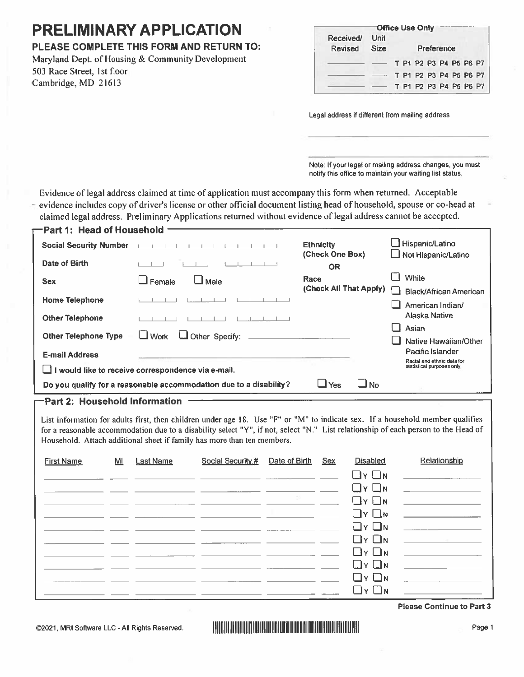# **PRELIMINARY APPLICATION**

## PLEASE COMPLETE THIS FORM AND RETURN TO:

Maryland Dept. of Housing & Community Development 503 Race Street, 1st floor Cambridge, MD 21613

|           | <sup>⊤</sup> Office Use Onlv |            |  |                        |  |  |  |  |  |
|-----------|------------------------------|------------|--|------------------------|--|--|--|--|--|
| Received/ | Unit                         |            |  |                        |  |  |  |  |  |
| Revised   | <b>Size</b>                  | Preference |  |                        |  |  |  |  |  |
|           |                              |            |  | T P1 P2 P3 P4 P5 P6 P7 |  |  |  |  |  |
|           |                              |            |  | T P1 P2 P3 P4 P5 P6 P7 |  |  |  |  |  |
|           |                              |            |  | T P1 P2 P3 P4 P5 P6 P7 |  |  |  |  |  |

Legal address if different from mailing address

Note: If your legal or mailing address changes, you must notify this office to maintain your waiting list status.

Evidence of legal address claimed at time of application must accompany this form when returned. Acceptable evidence includes copy of driver's license or other official document listing head of household, spouse or co-head at  $\overline{a}$ claimed legal address. Preliminary Applications returned without evidence of legal address cannot be accepted.

| ─Part 1:  Head of Household   |                                                                    |                        |                               |
|-------------------------------|--------------------------------------------------------------------|------------------------|-------------------------------|
| <b>Social Security Number</b> |                                                                    | <b>Ethnicity</b>       | Hispanic/Latino               |
|                               |                                                                    | (Check One Box)        | Not Hispanic/Latino           |
| Date of Birth                 |                                                                    | <b>OR</b>              |                               |
| <b>Sex</b>                    | Female<br>$\square$ Male                                           | Race                   | White                         |
|                               |                                                                    | (Check All That Apply) | <b>Black/African American</b> |
| <b>Home Telephone</b>         |                                                                    |                        | American Indian/              |
| <b>Other Telephone</b>        |                                                                    |                        | <b>Alaska Native</b>          |
|                               |                                                                    |                        | Asian                         |
| <b>Other Telephone Type</b>   | $\Box$ Other Specify:<br>$\Box$ Work                               |                        | Native Hawaiian/Other         |
|                               |                                                                    |                        | Pacific Islander              |
| <b>E-mail Address</b>         |                                                                    |                        | Racial and ethnic data for    |
|                               | $\Box$ I would like to receive correspondence via e-mail.          |                        | statistical purposes only     |
|                               | Do you qualify for a reasonable accommodation due to a disability? | l No<br>Yes<br>- 1     |                               |
|                               |                                                                    |                        |                               |

#### Part 2: Household Information

List information for adults first, then children under age 18. Use "F" or "M" to indicate sex. If a household member qualifies for a reasonable accommodation due to a disability select "Y", if not, select "N." List relationship of each person to the Head of Household. Attach additional sheet if family has more than ten members.

| <b>First Name</b> | MI | <b>Last Name</b>                                                | Social Security # Date of Birth Sex |  | <b>Disabled</b>               | Relationship                                                                                                                                                                                                                         |
|-------------------|----|-----------------------------------------------------------------|-------------------------------------|--|-------------------------------|--------------------------------------------------------------------------------------------------------------------------------------------------------------------------------------------------------------------------------------|
|                   |    |                                                                 |                                     |  | $\Box$ $\vee$ $\Box$ $\vee$   | <u> 1980 - Johann Stein, fransk politik (d. 1980)</u>                                                                                                                                                                                |
|                   |    |                                                                 |                                     |  | $\Box$ Y $\Box$ N             | <u> 1980 - John Stone, svensk politik (d. 19</u>                                                                                                                                                                                     |
|                   |    |                                                                 |                                     |  | $\Box$ y $\Box$ n             | <u> 1989 - John Stein, mars and der stad of the state of the state of the state of the state of the state of the state of the state of the state of the state of the state of the state of the state of the state of the state o</u> |
|                   |    |                                                                 |                                     |  | $\Box$ y $\Box$ n             | <u> 1989 - Johann Harry Harry Harry Harry Harry Harry Harry Harry Harry Harry Harry Harry Harry Harry Harry Harry Harry Harry Harry Harry Harry Harry Harry Harry Harry Harry Harry Harry Harry Harry Harry Harry Harry Harry Ha</u> |
|                   |    |                                                                 |                                     |  | $\Box$ $\vee$ $\Box$ $\vee$   | <u> 1989 - Jan Barbara (f. 1989)</u>                                                                                                                                                                                                 |
|                   |    | <u> 1989 - John Harrison, mars et al. 1989 - Anna ann an t-</u> |                                     |  | $\Box$ $\vee$ $\Box$ $\wedge$ | and the control of the con-                                                                                                                                                                                                          |
|                   |    |                                                                 |                                     |  | $\Box$ y $\Box$ n             | <u> 1989 - John Stone, svensk politik (* 1908)</u>                                                                                                                                                                                   |
|                   |    |                                                                 |                                     |  | $\Box$ Y $\Box$ N             | <u> 1999 - Jan Barbara Barat, prima populație de la provincia de la provincia de la provincia de la provincia de</u>                                                                                                                 |
|                   |    |                                                                 |                                     |  | $\Box$ $\vee$ $\Box$ $\wedge$ |                                                                                                                                                                                                                                      |
|                   |    |                                                                 |                                     |  | $\Box$ y $\Box$ n             |                                                                                                                                                                                                                                      |

**Please Continue to Part 3** 

@2021, MRI Software LLC - All Rights Reserved.

## **HOLLINGER DIRECTION CONTRACTOR**